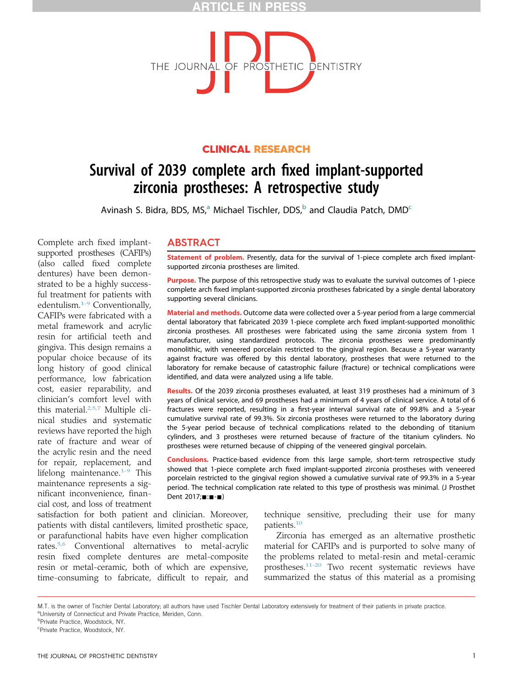# ICI E IN



# CLINICAL RESEARCH

# Survival of 2039 complete arch fixed implant-supported zirconia prostheses: A retrospective study

Avinash S. Bidra, BDS, MS,<sup>a</sup> Michael Tischler, DDS,<sup>b</sup> and Claudia Patch, DMD<sup>c</sup>

Complete arch fixed implantsupported prostheses (CAFIPs) (also called fixed complete dentures) have been demonstrated to be a highly successful treatment for patients with edentulism.[1-9](#page-4-0) Conventionally, CAFIPs were fabricated with a metal framework and acrylic resin for artificial teeth and gingiva. This design remains a popular choice because of its long history of good clinical performance, low fabrication cost, easier reparability, and clinician's comfort level with this material.[2,5,7](#page-4-0) Multiple clinical studies and systematic reviews have reported the high rate of fracture and wear of the acrylic resin and the need for repair, replacement, and lifelong maintenance. $1-9$  This maintenance represents a significant inconvenience, financial cost, and loss of treatment

## ABSTRACT

Statement of problem. Presently, data for the survival of 1-piece complete arch fixed implantsupported zirconia prostheses are limited.

Purpose. The purpose of this retrospective study was to evaluate the survival outcomes of 1-piece complete arch fixed implant-supported zirconia prostheses fabricated by a single dental laboratory supporting several clinicians.

Material and methods. Outcome data were collected over a 5-year period from a large commercial dental laboratory that fabricated 2039 1-piece complete arch fixed implant-supported monolithic zirconia prostheses. All prostheses were fabricated using the same zirconia system from 1 manufacturer, using standardized protocols. The zirconia prostheses were predominantly monolithic, with veneered porcelain restricted to the gingival region. Because a 5-year warranty against fracture was offered by this dental laboratory, prostheses that were returned to the laboratory for remake because of catastrophic failure (fracture) or technical complications were identified, and data were analyzed using a life table.

Results. Of the 2039 zirconia prostheses evaluated, at least 319 prostheses had a minimum of 3 years of clinical service, and 69 prostheses had a minimum of 4 years of clinical service. A total of 6 fractures were reported, resulting in a first-year interval survival rate of 99.8% and a 5-year cumulative survival rate of 99.3%. Six zirconia prostheses were returned to the laboratory during the 5-year period because of technical complications related to the debonding of titanium cylinders, and 3 prostheses were returned because of fracture of the titanium cylinders. No prostheses were returned because of chipping of the veneered gingival porcelain.

Conclusions. Practice-based evidence from this large sample, short-term retrospective study showed that 1-piece complete arch fixed implant-supported zirconia prostheses with veneered porcelain restricted to the gingival region showed a cumulative survival rate of 99.3% in a 5-year period. The technical complication rate related to this type of prosthesis was minimal. (J Prosthet Dent 2017;**...**-1)

satisfaction for both patient and clinician. Moreover, patients with distal cantilevers, limited prosthetic space, or parafunctional habits have even higher complication rates.[5,6](#page-4-0) Conventional alternatives to metal-acrylic resin fixed complete dentures are metal-composite resin or metal-ceramic, both of which are expensive, time-consuming to fabricate, difficult to repair, and

technique sensitive, precluding their use for many patients[.10](#page-4-0)

Zirconia has emerged as an alternative prosthetic material for CAFIPs and is purported to solve many of the problems related to metal-resin and metal-ceramic prostheses.[11-20](#page-4-0) Two recent systematic reviews have summarized the status of this material as a promising

M.T. is the owner of Tischler Dental Laboratory; all authors have used Tischler Dental Laboratory extensively for treatment of their patients in private practice. a<br>University of Connecticut and Private Practice. Meriden, Conn.

*<b>Private Practice, Woodstock, NY.* 

c Private Practice, Woodstock, NY.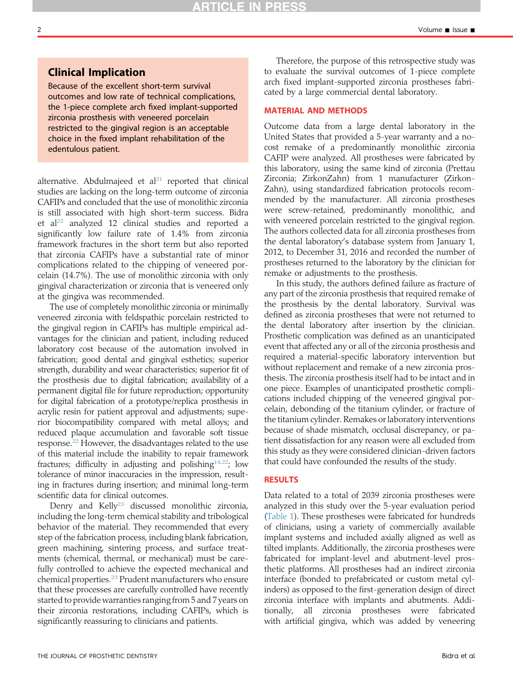## Clinical Implication

Because of the excellent short-term survival outcomes and low rate of technical complications, the 1-piece complete arch fixed implant-supported zirconia prosthesis with veneered porcelain restricted to the gingival region is an acceptable choice in the fixed implant rehabilitation of the edentulous patient.

alternative. Abdulmajeed et  $al<sup>21</sup>$  $al<sup>21</sup>$  $al<sup>21</sup>$  reported that clinical studies are lacking on the long-term outcome of zirconia CAFIPs and concluded that the use of monolithic zirconia is still associated with high short-term success. Bidra et al<sup>[22](#page-4-0)</sup> analyzed 12 clinical studies and reported a significantly low failure rate of 1.4% from zirconia framework fractures in the short term but also reported that zirconia CAFIPs have a substantial rate of minor complications related to the chipping of veneered porcelain (14.7%). The use of monolithic zirconia with only gingival characterization or zirconia that is veneered only at the gingiva was recommended.

The use of completely monolithic zirconia or minimally veneered zirconia with feldspathic porcelain restricted to the gingival region in CAFIPs has multiple empirical advantages for the clinician and patient, including reduced laboratory cost because of the automation involved in fabrication; good dental and gingival esthetics; superior strength, durability and wear characteristics; superior fit of the prosthesis due to digital fabrication; availability of a permanent digital file for future reproduction; opportunity for digital fabrication of a prototype/replica prosthesis in acrylic resin for patient approval and adjustments; superior biocompatibility compared with metal alloys; and reduced plaque accumulation and favorable soft tissue response.<sup>22</sup> However, the disadvantages related to the use of this material include the inability to repair framework fractures; difficulty in adjusting and polishing $14,22$ ; low tolerance of minor inaccuracies in the impression, resulting in fractures during insertion; and minimal long-term scientific data for clinical outcomes.

Denry and Kelly<sup>[23](#page-4-0)</sup> discussed monolithic zirconia, including the long-term chemical stability and tribological behavior of the material. They recommended that every step of the fabrication process, including blank fabrication, green machining, sintering process, and surface treatments (chemical, thermal, or mechanical) must be carefully controlled to achieve the expected mechanical and chemical properties.<sup>[23](#page-4-0)</sup> Prudent manufacturers who ensure that these processes are carefully controlled have recently started to provide warranties ranging from 5 and 7 years on their zirconia restorations, including CAFIPs, which is significantly reassuring to clinicians and patients.

Therefore, the purpose of this retrospective study was to evaluate the survival outcomes of 1-piece complete arch fixed implant-supported zirconia prostheses fabricated by a large commercial dental laboratory.

## MATERIAL AND METHODS

Outcome data from a large dental laboratory in the United States that provided a 5-year warranty and a nocost remake of a predominantly monolithic zirconia CAFIP were analyzed. All prostheses were fabricated by this laboratory, using the same kind of zirconia (Prettau Zirconia; ZirkonZahn) from 1 manufacturer (Zirkon-Zahn), using standardized fabrication protocols recommended by the manufacturer. All zirconia prostheses were screw-retained, predominantly monolithic, and with veneered porcelain restricted to the gingival region. The authors collected data for all zirconia prostheses from the dental laboratory's database system from January 1, 2012, to December 31, 2016 and recorded the number of prostheses returned to the laboratory by the clinician for remake or adjustments to the prosthesis.

In this study, the authors defined failure as fracture of any part of the zirconia prosthesis that required remake of the prosthesis by the dental laboratory. Survival was defined as zirconia prostheses that were not returned to the dental laboratory after insertion by the clinician. Prosthetic complication was defined as an unanticipated event that affected any or all of the zirconia prosthesis and required a material-specific laboratory intervention but without replacement and remake of a new zirconia prosthesis. The zirconia prosthesis itself had to be intact and in one piece. Examples of unanticipated prosthetic complications included chipping of the veneered gingival porcelain, debonding of the titanium cylinder, or fracture of the titanium cylinder. Remakes or laboratory interventions because of shade mismatch, occlusal discrepancy, or patient dissatisfaction for any reason were all excluded from this study as they were considered clinician-driven factors that could have confounded the results of the study.

### RESULTS

Data related to a total of 2039 zirconia prostheses were analyzed in this study over the 5-year evaluation period ([Table 1](#page-2-0)). These prostheses were fabricated for hundreds of clinicians, using a variety of commercially available implant systems and included axially aligned as well as tilted implants. Additionally, the zirconia prostheses were fabricated for implant-level and abutment-level prosthetic platforms. All prostheses had an indirect zirconia interface (bonded to prefabricated or custom metal cylinders) as opposed to the first-generation design of direct zirconia interface with implants and abutments. Additionally, all zirconia prostheses were fabricated with artificial gingiva, which was added by veneering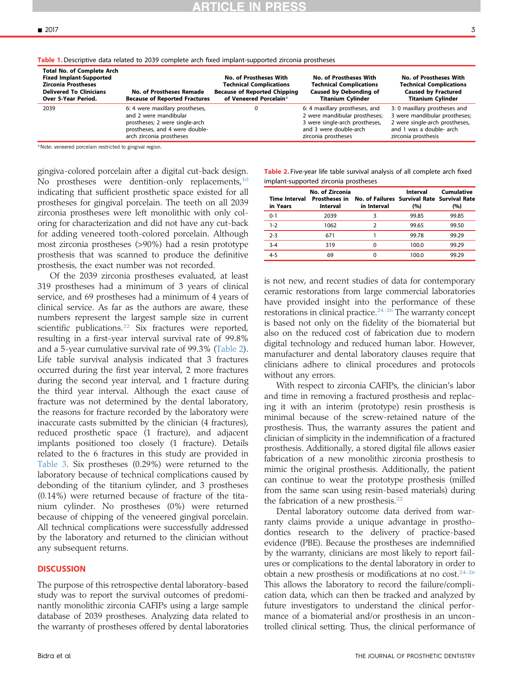|  | -  |   |  |
|--|----|---|--|
|  |    |   |  |
|  |    |   |  |
|  |    | ۰ |  |
|  |    |   |  |
|  |    |   |  |
|  | ., |   |  |

<span id="page-2-0"></span>

|  |  |  | Table 1. Descriptive data related to 2039 complete arch fixed implant-supported zirconia prostheses |  |
|--|--|--|-----------------------------------------------------------------------------------------------------|--|
|  |  |  |                                                                                                     |  |

| <b>Total No. of Complete Arch</b><br><b>Fixed Implant-Supported</b><br><b>Zirconia Prostheses</b><br><b>Delivered To Clinicians</b><br>Over 5-Year Period. | <b>No. of Prostheses Remade</b><br><b>Because of Reported Fractures</b>                                                                                  | No. of Prostheses With<br><b>Technical Complications</b><br><b>Because of Reported Chipping</b><br>of Veneered Porcelain* | No. of Prostheses With<br><b>Technical Complications</b><br><b>Caused by Debonding of</b><br><b>Titanium Cylinder</b>                              | No. of Prostheses With<br><b>Technical Complications</b><br><b>Caused by Fractured</b><br><b>Titanium Cylinder</b>                                  |
|------------------------------------------------------------------------------------------------------------------------------------------------------------|----------------------------------------------------------------------------------------------------------------------------------------------------------|---------------------------------------------------------------------------------------------------------------------------|----------------------------------------------------------------------------------------------------------------------------------------------------|-----------------------------------------------------------------------------------------------------------------------------------------------------|
| 2039                                                                                                                                                       | 6: 4 were maxillary prostheses,<br>and 2 were mandibular<br>prostheses; 2 were single-arch<br>prostheses, and 4 were double-<br>arch zirconia prostheses |                                                                                                                           | 6: 4 maxillary prostheses, and<br>2 were mandibular prostheses;<br>3 were single-arch prostheses,<br>and 3 were double-arch<br>zirconia prostheses | 3: 0 maxillary prostheses and<br>3 were mandibular prostheses;<br>2 were single-arch prostheses,<br>and 1 was a double- arch<br>zirconia prosthesis |

\*Note: veneered porcelain restricted to gingival region.

gingiva-colored porcelain after a digital cut-back design. No prostheses were dentition-only replacements, $10$ indicating that sufficient prosthetic space existed for all prostheses for gingival porcelain. The teeth on all 2039 zirconia prostheses were left monolithic with only coloring for characterization and did not have any cut-back for adding veneered tooth-colored porcelain. Although most zirconia prostheses (>90%) had a resin prototype prosthesis that was scanned to produce the definitive prosthesis, the exact number was not recorded.

Of the 2039 zirconia prostheses evaluated, at least 319 prostheses had a minimum of 3 years of clinical service, and 69 prostheses had a minimum of 4 years of clinical service. As far as the authors are aware, these numbers represent the largest sample size in current scientific publications.<sup>[22](#page-4-0)</sup> Six fractures were reported, resulting in a first-year interval survival rate of 99.8% and a 5-year cumulative survival rate of 99.3% (Table 2). Life table survival analysis indicated that 3 fractures occurred during the first year interval, 2 more fractures during the second year interval, and 1 fracture during the third year interval. Although the exact cause of fracture was not determined by the dental laboratory, the reasons for fracture recorded by the laboratory were inaccurate casts submitted by the clinician (4 fractures), reduced prosthetic space (1 fracture), and adjacent implants positioned too closely (1 fracture). Details related to the 6 fractures in this study are provided in [Table 3.](#page-3-0) Six prostheses (0.29%) were returned to the laboratory because of technical complications caused by debonding of the titanium cylinder, and 3 prostheses (0.14%) were returned because of fracture of the titanium cylinder. No prostheses (0%) were returned because of chipping of the veneered gingival porcelain. All technical complications were successfully addressed by the laboratory and returned to the clinician without any subsequent returns.

#### **DISCUSSION**

The purpose of this retrospective dental laboratory-based study was to report the survival outcomes of predominantly monolithic zirconia CAFIPs using a large sample database of 2039 prostheses. Analyzing data related to the warranty of prostheses offered by dental laboratories

| <b>Table 2.</b> Five-year life table survival analysis of all complete arch fixed |  |
|-----------------------------------------------------------------------------------|--|
| implant-supported zirconia prostheses                                             |  |

| <b>Time Interval</b><br>in Years | No. of Zirconia<br>Interval | Prostheses in No. of Failures Survival Rate Survival Rate<br>in Interval | Interval<br>(%) | Cumulative<br>(%) |
|----------------------------------|-----------------------------|--------------------------------------------------------------------------|-----------------|-------------------|
| $0 - 1$                          | 2039                        |                                                                          | 99.85           | 99.85             |
| $1 - 2$                          | 1062                        | 2                                                                        | 99.65           | 99.50             |
| $2 - 3$                          | 671                         |                                                                          | 99.78           | 99.29             |
| $3 - 4$                          | 319                         | 0                                                                        | 100.0           | 99.29             |
| $4 - 5$                          | 69                          |                                                                          | 100.0           | 99.29             |

is not new, and recent studies of data for contemporary ceramic restorations from large commercial laboratories have provided insight into the performance of these restorations in clinical practice.<sup>24-26</sup> The warranty concept is based not only on the fidelity of the biomaterial but also on the reduced cost of fabrication due to modern digital technology and reduced human labor. However, manufacturer and dental laboratory clauses require that clinicians adhere to clinical procedures and protocols without any errors.

With respect to zirconia CAFIPs, the clinician's labor and time in removing a fractured prosthesis and replacing it with an interim (prototype) resin prosthesis is minimal because of the screw-retained nature of the prosthesis. Thus, the warranty assures the patient and clinician of simplicity in the indemnification of a fractured prosthesis. Additionally, a stored digital file allows easier fabrication of a new monolithic zirconia prosthesis to mimic the original prosthesis. Additionally, the patient can continue to wear the prototype prosthesis (milled from the same scan using resin-based materials) during the fabrication of a new prosthesis.<sup>[22](#page-4-0)</sup>

Dental laboratory outcome data derived from warranty claims provide a unique advantage in prosthodontics research to the delivery of practice-based evidence (PBE). Because the prostheses are indemnified by the warranty, clinicians are most likely to report failures or complications to the dental laboratory in order to obtain a new prosthesis or modifications at no cost.[24-26](#page-4-0) This allows the laboratory to record the failure/complication data, which can then be tracked and analyzed by future investigators to understand the clinical performance of a biomaterial and/or prosthesis in an uncontrolled clinical setting. Thus, the clinical performance of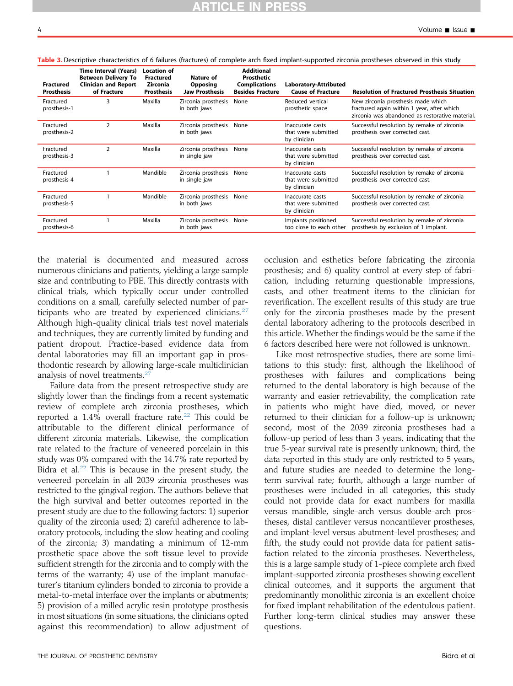| <b>Fractured</b><br><b>Prosthesis</b> | Time Interval (Years)<br><b>Between Delivery To</b><br><b>Clinician and Report</b><br>of Fracture | <b>Location of</b><br><b>Fractured</b><br>Zirconia<br><b>Prosthesis</b> | Nature of<br><b>Opposing</b><br><b>Jaw Prosthesis</b> | <b>Additional</b><br>Prosthetic<br><b>Complications</b><br><b>Besides Fracture</b> | <b>Laboratory-Attributed</b><br><b>Cause of Fracture</b> | <b>Resolution of Fractured Prosthesis Situation</b>                                                                                 |
|---------------------------------------|---------------------------------------------------------------------------------------------------|-------------------------------------------------------------------------|-------------------------------------------------------|------------------------------------------------------------------------------------|----------------------------------------------------------|-------------------------------------------------------------------------------------------------------------------------------------|
| Fractured<br>prosthesis-1             | 3                                                                                                 | Maxilla                                                                 | Zirconia prosthesis<br>in both jaws                   | None                                                                               | Reduced vertical<br>prosthetic space                     | New zirconia prosthesis made which<br>fractured again within 1 year, after which<br>zirconia was abandoned as restorative material. |
| Fractured<br>prosthesis-2             | 2                                                                                                 | Maxilla                                                                 | Zirconia prosthesis<br>in both jaws                   | None                                                                               | Inaccurate casts<br>that were submitted<br>by clinician  | Successful resolution by remake of zirconia<br>prosthesis over corrected cast.                                                      |
| Fractured<br>prosthesis-3             | 2                                                                                                 | Maxilla                                                                 | Zirconia prosthesis<br>in single jaw                  | None                                                                               | Inaccurate casts<br>that were submitted<br>by clinician  | Successful resolution by remake of zirconia<br>prosthesis over corrected cast.                                                      |
| Fractured<br>prosthesis-4             |                                                                                                   | Mandible                                                                | Zirconia prosthesis<br>in single jaw                  | None                                                                               | Inaccurate casts<br>that were submitted<br>by clinician  | Successful resolution by remake of zirconia<br>prosthesis over corrected cast.                                                      |
| Fractured<br>prosthesis-5             |                                                                                                   | Mandible                                                                | Zirconia prosthesis<br>in both jaws                   | None                                                                               | Inaccurate casts<br>that were submitted<br>by clinician  | Successful resolution by remake of zirconia<br>prosthesis over corrected cast.                                                      |
| Fractured<br>prosthesis-6             |                                                                                                   | Maxilla                                                                 | Zirconia prosthesis<br>in both jaws                   | None                                                                               | Implants positioned<br>too close to each other           | Successful resolution by remake of zirconia<br>prosthesis by exclusion of 1 implant.                                                |

<span id="page-3-0"></span>Table 3. Descriptive characteristics of 6 failures (fractures) of complete arch fixed implant-supported zirconia prostheses observed in this study

the material is documented and measured across numerous clinicians and patients, yielding a large sample size and contributing to PBE. This directly contrasts with clinical trials, which typically occur under controlled conditions on a small, carefully selected number of par-ticipants who are treated by experienced clinicians.<sup>[27](#page-4-0)</sup> Although high-quality clinical trials test novel materials and techniques, they are currently limited by funding and patient dropout. Practice-based evidence data from dental laboratories may fill an important gap in prosthodontic research by allowing large-scale multiclinician analysis of novel treatments.<sup>[27](#page-4-0)</sup>

Failure data from the present retrospective study are slightly lower than the findings from a recent systematic review of complete arch zirconia prostheses, which reported a  $1.4\%$  overall fracture rate.<sup>[22](#page-4-0)</sup> This could be attributable to the different clinical performance of different zirconia materials. Likewise, the complication rate related to the fracture of veneered porcelain in this study was 0% compared with the 14.7% rate reported by Bidra et al.<sup>[22](#page-4-0)</sup> This is because in the present study, the veneered porcelain in all 2039 zirconia prostheses was restricted to the gingival region. The authors believe that the high survival and better outcomes reported in the present study are due to the following factors: 1) superior quality of the zirconia used; 2) careful adherence to laboratory protocols, including the slow heating and cooling of the zirconia; 3) mandating a minimum of 12-mm prosthetic space above the soft tissue level to provide sufficient strength for the zirconia and to comply with the terms of the warranty; 4) use of the implant manufacturer's titanium cylinders bonded to zirconia to provide a metal-to-metal interface over the implants or abutments; 5) provision of a milled acrylic resin prototype prosthesis in most situations (in some situations, the clinicians opted against this recommendation) to allow adjustment of occlusion and esthetics before fabricating the zirconia prosthesis; and 6) quality control at every step of fabrication, including returning questionable impressions, casts, and other treatment items to the clinician for reverification. The excellent results of this study are true only for the zirconia prostheses made by the present dental laboratory adhering to the protocols described in this article. Whether the findings would be the same if the 6 factors described here were not followed is unknown.

Like most retrospective studies, there are some limitations to this study: first, although the likelihood of prostheses with failures and complications being returned to the dental laboratory is high because of the warranty and easier retrievability, the complication rate in patients who might have died, moved, or never returned to their clinician for a follow-up is unknown; second, most of the 2039 zirconia prostheses had a follow-up period of less than 3 years, indicating that the true 5-year survival rate is presently unknown; third, the data reported in this study are only restricted to 5 years, and future studies are needed to determine the longterm survival rate; fourth, although a large number of prostheses were included in all categories, this study could not provide data for exact numbers for maxilla versus mandible, single-arch versus double-arch prostheses, distal cantilever versus noncantilever prostheses, and implant-level versus abutment-level prostheses; and fifth, the study could not provide data for patient satisfaction related to the zirconia prostheses. Nevertheless, this is a large sample study of 1-piece complete arch fixed implant-supported zirconia prostheses showing excellent clinical outcomes, and it supports the argument that predominantly monolithic zirconia is an excellent choice for fixed implant rehabilitation of the edentulous patient. Further long-term clinical studies may answer these questions.